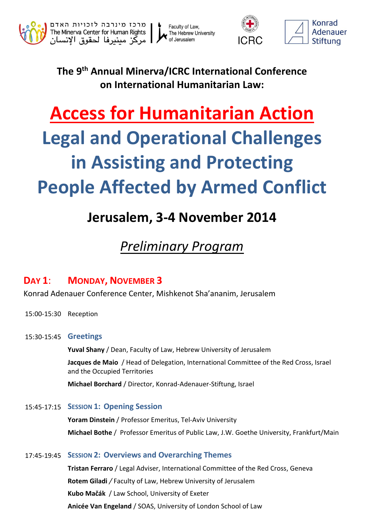

Faculty of Law, The Hebrew University<br>of Jerusalem



**The 9 th Annual Minerva/ICRC International Conference on International Humanitarian Law:**

# **Access for Humanitarian Action Legal and Operational Challenges in Assisting and Protecting People Affected by Armed Conflict**

# **Jerusalem, 3-4 November 2014**

## *Preliminary Program*

### **DAY 1**: **MONDAY, NOVEMBER 3**

Konrad Adenauer Conference Center, Mishkenot Sha'ananim, Jerusalem

- 15:00-15:30 Reception
- 15:30-15:45 **Greetings**

**Yuval Shany** / Dean, Faculty of Law, Hebrew University of Jerusalem

**Jacques de Maio** / Head of Delegation, International Committee of the Red Cross, Israel and the Occupied Territories

**Michael Borchard** / Director, Konrad-Adenauer-Stiftung, Israel

15:45-17:15 **SESSION 1: Opening Session**

**Yoram Dinstein** / Professor Emeritus, Tel-Aviv University **Michael Bothe** / Professor Emeritus of Public Law, J.W. Goethe University, Frankfurt/Main

#### 17:45-19:45 **SESSION 2: Overviews and Overarching Themes**

**Tristan Ferraro** / Legal Adviser, International Committee of the Red Cross, Geneva **Rotem Giladi** */* Faculty of Law, Hebrew University of Jerusalem **Kubo Mačák** / Law School, University of Exeter **Anicée Van Engeland** / SOAS, University of London School of Law